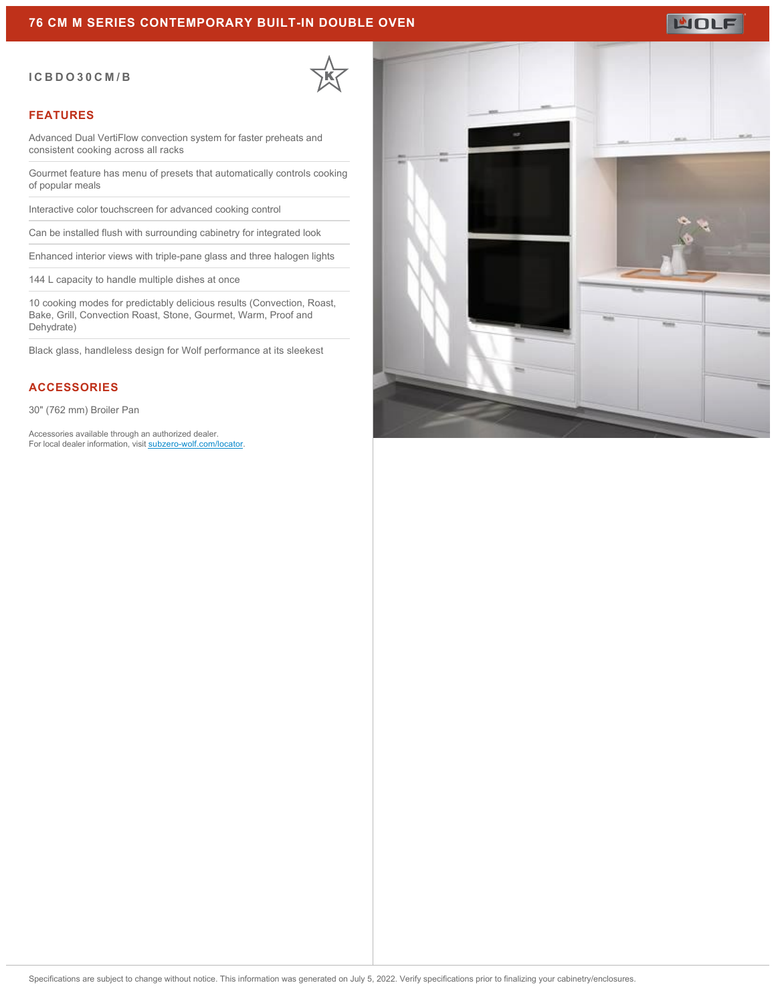## **76 CM M SERIES CONTEMPORARY BUILT-IN DOUBLE OVEN**

#### **ICBDO30CM/B**

#### **FEATURES**

Advanced Dual VertiFlow convection system for faster preheats and consistent cooking across all racks

Gourmet feature has menu of presets that automatically controls cooking of popular meals

Interactive color touchscreen for advanced cooking control

Can be installed flush with surrounding cabinetry for integrated look

Enhanced interior views with triple-pane glass and three halogen lights

144 L capacity to handle multiple dishes at once

10 cooking modes for predictably delicious results (Convection, Roast, Bake, Grill, Convection Roast, Stone, Gourmet, Warm, Proof and Dehydrate)

Black glass, handleless design for Wolf performance at its sleekest

## **ACCESSORIES**

30" (762 mm) Broiler Pan

Accessories available through an authorized dealer. For local dealer information, visit [subzero-wolf.com/locator.](http://www.subzero-wolf.com/locator)



**WOLF**